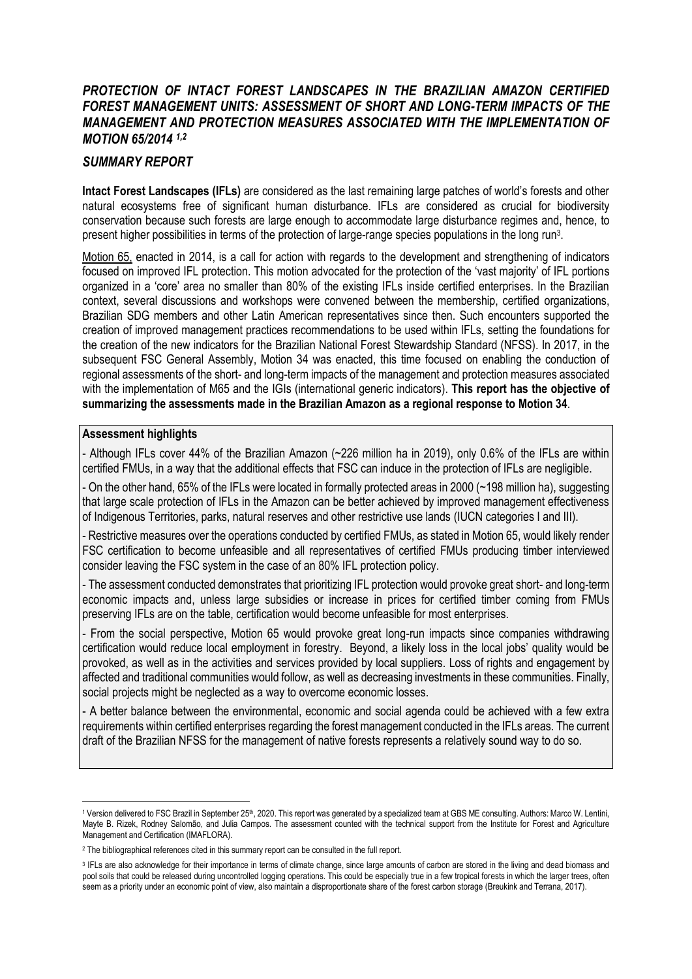### *PROTECTION OF INTACT FOREST LANDSCAPES IN THE BRAZILIAN AMAZON CERTIFIED FOREST MANAGEMENT UNITS: ASSESSMENT OF SHORT AND LONG-TERM IMPACTS OF THE MANAGEMENT AND PROTECTION MEASURES ASSOCIATED WITH THE IMPLEMENTATION OF MOTION 65/2014 1,2*

### *SUMMARY REPORT*

**Intact Forest Landscapes (IFLs)** are considered as the last remaining large patches of world's forests and other natural ecosystems free of significant human disturbance. IFLs are considered as crucial for biodiversity conservation because such forests are large enough to accommodate large disturbance regimes and, hence, to present higher possibilities in terms of the protection of large-range species populations in the long run<sup>3</sup>.

Motion 65, enacted in 2014, is a call for action with regards to the development and strengthening of indicators focused on improved IFL protection. This motion advocated for the protection of the 'vast majority' of IFL portions organized in a 'core' area no smaller than 80% of the existing IFLs inside certified enterprises. In the Brazilian context, several discussions and workshops were convened between the membership, certified organizations, Brazilian SDG members and other Latin American representatives since then. Such encounters supported the creation of improved management practices recommendations to be used within IFLs, setting the foundations for the creation of the new indicators for the Brazilian National Forest Stewardship Standard (NFSS). In 2017, in the subsequent FSC General Assembly, Motion 34 was enacted, this time focused on enabling the conduction of regional assessments of the short- and long-term impacts of the management and protection measures associated with the implementation of M65 and the IGIs (international generic indicators). **This report has the objective of summarizing the assessments made in the Brazilian Amazon as a regional response to Motion 34**.

#### **Assessment highlights**

- Although IFLs cover 44% of the Brazilian Amazon (~226 million ha in 2019), only 0.6% of the IFLs are within certified FMUs, in a way that the additional effects that FSC can induce in the protection of IFLs are negligible.

- On the other hand, 65% of the IFLs were located in formally protected areas in 2000 (~198 million ha), suggesting that large scale protection of IFLs in the Amazon can be better achieved by improved management effectiveness of Indigenous Territories, parks, natural reserves and other restrictive use lands (IUCN categories I and III).

- Restrictive measures over the operations conducted by certified FMUs, as stated in Motion 65, would likely render FSC certification to become unfeasible and all representatives of certified FMUs producing timber interviewed consider leaving the FSC system in the case of an 80% IFL protection policy.

- The assessment conducted demonstrates that prioritizing IFL protection would provoke great short- and long-term economic impacts and, unless large subsidies or increase in prices for certified timber coming from FMUs preserving IFLs are on the table, certification would become unfeasible for most enterprises.

- From the social perspective, Motion 65 would provoke great long-run impacts since companies withdrawing certification would reduce local employment in forestry. Beyond, a likely loss in the local jobs' quality would be provoked, as well as in the activities and services provided by local suppliers. Loss of rights and engagement by affected and traditional communities would follow, as well as decreasing investments in these communities. Finally, social projects might be neglected as a way to overcome economic losses.

- A better balance between the environmental, economic and social agenda could be achieved with a few extra requirements within certified enterprises regarding the forest management conducted in the IFLs areas. The current draft of the Brazilian NFSS for the management of native forests represents a relatively sound way to do so.

<sup>&</sup>lt;sup>1</sup> Version delivered to FSC Brazil in September 25<sup>th</sup>, 2020. This report was generated by a specialized team at GBS ME consulting. Authors: Marco W. Lentini, Mayte B. Rizek, Rodney Salomão, and Julia Campos. The assessment counted with the technical support from the Institute for Forest and Agriculture Management and Certification (IMAFLORA).

<sup>&</sup>lt;sup>2</sup> The bibliographical references cited in this summary report can be consulted in the full report.

<sup>&</sup>lt;sup>3</sup> IFLs are also acknowledge for their importance in terms of climate change, since large amounts of carbon are stored in the living and dead biomass and pool soils that could be released during uncontrolled logging operations. This could be especially true in a few tropical forests in which the larger trees, often seem as a priority under an economic point of view, also maintain a disproportionate share of the forest carbon storage (Breukink and Terrana, 2017).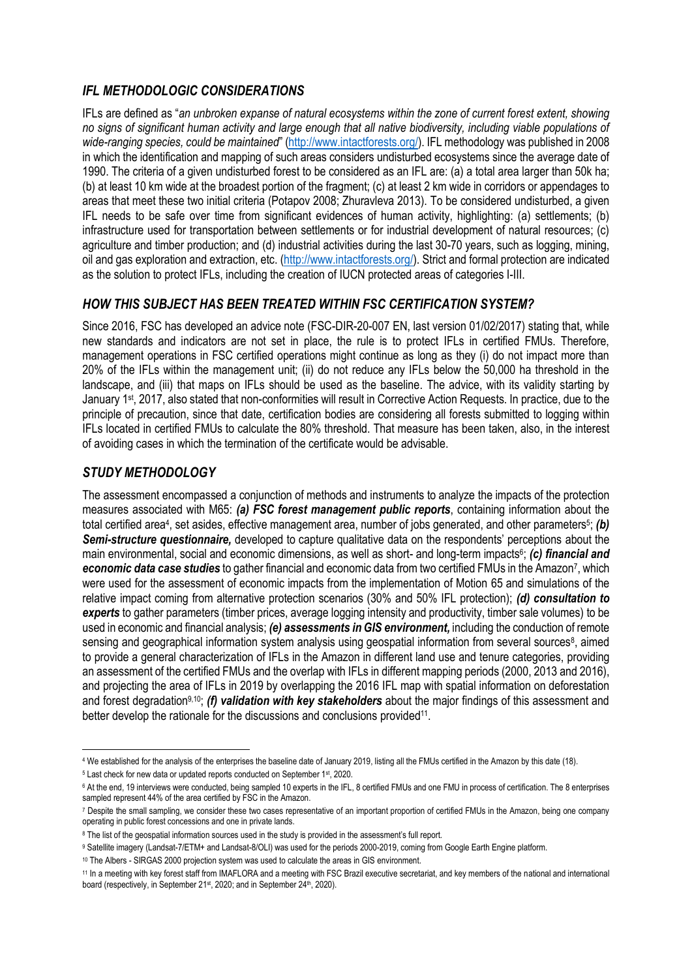## *IFL METHODOLOGIC CONSIDERATIONS*

IFLs are defined as "*an unbroken expanse of natural ecosystems within the zone of current forest extent, showing no signs of significant human activity and large enough that all native biodiversity, including viable populations of wide-ranging species, could be maintained*" ([http://www.intactforests.org/\)](http://www.intactforests.org/). IFL methodology was published in 2008 in which the identification and mapping of such areas considers undisturbed ecosystems since the average date of 1990. The criteria of a given undisturbed forest to be considered as an IFL are: (a) a total area larger than 50k ha; (b) at least 10 km wide at the broadest portion of the fragment; (c) at least 2 km wide in corridors or appendages to areas that meet these two initial criteria (Potapov 2008; Zhuravleva 2013). To be considered undisturbed, a given IFL needs to be safe over time from significant evidences of human activity, highlighting: (a) settlements; (b) infrastructure used for transportation between settlements or for industrial development of natural resources; (c) agriculture and timber production; and (d) industrial activities during the last 30-70 years, such as logging, mining, oil and gas exploration and extraction, etc. [\(http://www.intactforests.org/\)](http://www.intactforests.org/). Strict and formal protection are indicated as the solution to protect IFLs, including the creation of IUCN protected areas of categories I-III.

### *HOW THIS SUBJECT HAS BEEN TREATED WITHIN FSC CERTIFICATION SYSTEM?*

Since 2016, FSC has developed an advice note (FSC-DIR-20-007 EN, last version 01/02/2017) stating that, while new standards and indicators are not set in place, the rule is to protect IFLs in certified FMUs. Therefore, management operations in FSC certified operations might continue as long as they (i) do not impact more than 20% of the IFLs within the management unit; (ii) do not reduce any IFLs below the 50,000 ha threshold in the landscape, and (iii) that maps on IFLs should be used as the baseline. The advice, with its validity starting by January 1st, 2017, also stated that non-conformities will result in Corrective Action Requests. In practice, due to the principle of precaution, since that date, certification bodies are considering all forests submitted to logging within IFLs located in certified FMUs to calculate the 80% threshold. That measure has been taken, also, in the interest of avoiding cases in which the termination of the certificate would be advisable.

### *STUDY METHODOLOGY*

The assessment encompassed a conjunction of methods and instruments to analyze the impacts of the protection measures associated with M65: *(a) FSC forest management public reports*, containing information about the total certified area<sup>4</sup>, set asides, effective management area, number of jobs generated, and other parameters<sup>5</sup>; (b) *Semi-structure questionnaire,* developed to capture qualitative data on the respondents' perceptions about the main environmental, social and economic dimensions, as well as short- and long-term impacts<sup>6</sup>; (c) financial and economic data case studies to gather financial and economic data from two certified FMUs in the Amazon<sup>7</sup>, which were used for the assessment of economic impacts from the implementation of Motion 65 and simulations of the relative impact coming from alternative protection scenarios (30% and 50% IFL protection); *(d) consultation to experts* to gather parameters (timber prices, average logging intensity and productivity, timber sale volumes) to be used in economic and financial analysis; *(e) assessments in GIS environment,* including the conduction of remote sensing and geographical information system analysis using geospatial information from several sources<sup>8</sup>, aimed to provide a general characterization of IFLs in the Amazon in different land use and tenure categories, providing an assessment of the certified FMUs and the overlap with IFLs in different mapping periods (2000, 2013 and 2016), and projecting the area of IFLs in 2019 by overlapping the 2016 IFL map with spatial information on deforestation and forest degradation9,10; *(f) validation with key stakeholders* about the major findings of this assessment and better develop the rationale for the discussions and conclusions provided<sup>11</sup>.

<sup>4</sup> We established for the analysis of the enterprises the baseline date of January 2019, listing all the FMUs certified in the Amazon by this date (18).

<sup>5</sup> Last check for new data or updated reports conducted on September 1st, 2020.

<sup>&</sup>lt;sup>6</sup> At the end, 19 interviews were conducted, being sampled 10 experts in the IFL, 8 certified FMUs and one FMU in process of certification. The 8 enterprises sampled represent 44% of the area certified by FSC in the Amazon.

<sup>7</sup> Despite the small sampling, we consider these two cases representative of an important proportion of certified FMUs in the Amazon, being one company operating in public forest concessions and one in private lands.

<sup>&</sup>lt;sup>8</sup> The list of the geospatial information sources used in the study is provided in the assessment's full report.

<sup>9</sup> Satellite imagery (Landsat-7/ETM+ and Landsat-8/OLI) was used for the periods 2000-2019, coming from Google Earth Engine platform.

<sup>10</sup> The Albers - SIRGAS 2000 projection system was used to calculate the areas in GIS environment.

<sup>11</sup> In a meeting with key forest staff from IMAFLORA and a meeting with FSC Brazil executive secretariat, and key members of the national and international board (respectively, in September 21<sup>st</sup>, 2020; and in September 24<sup>th</sup>, 2020).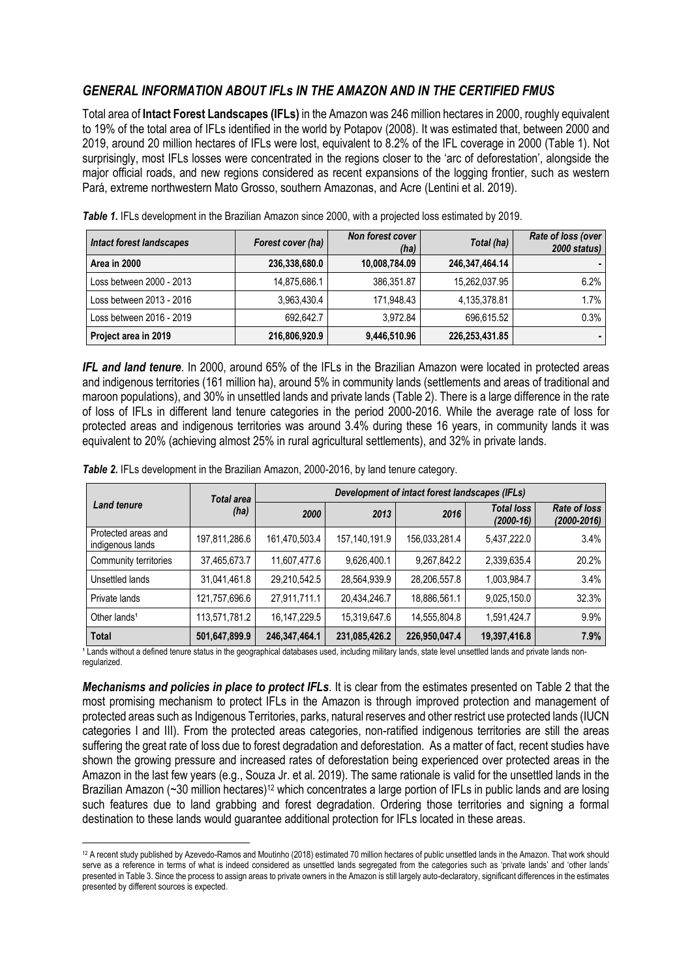### *GENERAL INFORMATION ABOUT IFLs IN THE AMAZON AND IN THE CERTIFIED FMUS*

Total area of **Intact Forest Landscapes (IFLs)** in the Amazon was 246 million hectares in 2000, roughly equivalent to 19% of the total area of IFLs identified in the world by Potapov (2008). It was estimated that, between 2000 and 2019, around 20 million hectares of IFLs were lost, equivalent to 8.2% of the IFL coverage in 2000 (Table 1). Not surprisingly, most IFLs losses were concentrated in the regions closer to the 'arc of deforestation', alongside the major official roads, and new regions considered as recent expansions of the logging frontier, such as western Pará, extreme northwestern Mato Grosso, southern Amazonas, and Acre (Lentini et al. 2019).

| <b>Intact forest landscapes</b> | Forest cover (ha) | Non forest cover<br>(ha) | Total (ha)     | Rate of loss (over<br>2000 status) |
|---------------------------------|-------------------|--------------------------|----------------|------------------------------------|
| Area in 2000                    | 236,338,680.0     | 10,008,784.09            | 246,347,464.14 |                                    |
| Loss between 2000 - 2013        | 14.875.686.1      | 386.351.87               | 15,262,037.95  | 6.2%                               |
| Loss between 2013 - 2016        | 3.963.430.4       | 171.948.43               | 4,135,378.81   | 1.7%                               |
| Loss between 2016 - 2019        | 692.642.7         | 3.972.84                 | 696.615.52     | 0.3%                               |
| Project area in 2019            | 216,806,920.9     | 9,446,510.96             | 226,253,431.85 |                                    |

**Table 1.** IFLs development in the Brazilian Amazon since 2000, with a projected loss estimated by 2019.

*IFL and land tenure*. In 2000, around 65% of the IFLs in the Brazilian Amazon were located in protected areas and indigenous territories (161 million ha), around 5% in community lands (settlements and areas of traditional and maroon populations), and 30% in unsettled lands and private lands (Table 2). There is a large difference in the rate of loss of IFLs in different land tenure categories in the period 2000-2016. While the average rate of loss for protected areas and indigenous territories was around 3.4% during these 16 years, in community lands it was equivalent to 20% (achieving almost 25% in rural agricultural settlements), and 32% in private lands.

| <b>Total area</b>                       |               | Development of intact forest landscapes (IFLs) |               |               |                                  |                                        |
|-----------------------------------------|---------------|------------------------------------------------|---------------|---------------|----------------------------------|----------------------------------------|
| <b>Land tenure</b>                      | (ha)          | 2000                                           | 2013          | 2016          | <b>Total loss</b><br>$(2000-16)$ | <b>Rate of loss</b><br>$(2000 - 2016)$ |
| Protected areas and<br>indigenous lands | 197,811,286.6 | 161,470,503.4                                  | 157,140,191.9 | 156,033,281.4 | 5,437,222.0                      | 3.4%                                   |
| Community territories                   | 37,465,673.7  | 11,607,477.6                                   | 9,626,400.1   | 9,267,842.2   | 2,339,635.4                      | 20.2%                                  |
| Unsettled lands                         | 31,041,461.8  | 29,210,542.5                                   | 28,564,939.9  | 28,206,557.8  | 1,003,984.7                      | 3.4%                                   |
| Private lands                           | 121,757,696.6 | 27,911,711.1                                   | 20,434,246.7  | 18,886,561.1  | 9,025,150.0                      | 32.3%                                  |
| Other lands <sup>1</sup>                | 113,571,781.2 | 16, 147, 229.5                                 | 15,319,647.6  | 14,555,804.8  | 1,591,424.7                      | 9.9%                                   |
| <b>Total</b>                            | 501,647,899.9 | 246,347,464.1                                  | 231,085,426.2 | 226,950,047.4 | 19,397,416.8                     | 7.9%                                   |

**Table 2.** IFLs development in the Brazilian Amazon, 2000-2016, by land tenure category.

<sup>1</sup> Lands without a defined tenure status in the geographical databases used, including military lands, state level unsettled lands and private lands nonregularized.

*Mechanisms and policies in place to protect IFLs*. It is clear from the estimates presented on Table 2 that the most promising mechanism to protect IFLs in the Amazon is through improved protection and management of protected areas such as Indigenous Territories, parks, natural reserves and other restrict use protected lands (IUCN categories I and III). From the protected areas categories, non-ratified indigenous territories are still the areas suffering the great rate of loss due to forest degradation and deforestation. As a matter of fact, recent studies have shown the growing pressure and increased rates of deforestation being experienced over protected areas in the Amazon in the last few years (e.g., Souza Jr. et al. 2019). The same rationale is valid for the unsettled lands in the Brazilian Amazon (~30 million hectares)<sup>12</sup> which concentrates a large portion of IFLs in public lands and are losing such features due to land grabbing and forest degradation. Ordering those territories and signing a formal destination to these lands would guarantee additional protection for IFLs located in these areas.

<sup>12</sup> A recent study published by Azevedo-Ramos and Moutinho (2018) estimated 70 million hectares of public unsettled lands in the Amazon. That work should serve as a reference in terms of what is indeed considered as unsettled lands segregated from the categories such as 'private lands' and 'other lands' presented in Table 3. Since the process to assign areas to private owners in the Amazon is still largely auto-declaratory, significant differences in the estimates presented by different sources is expected.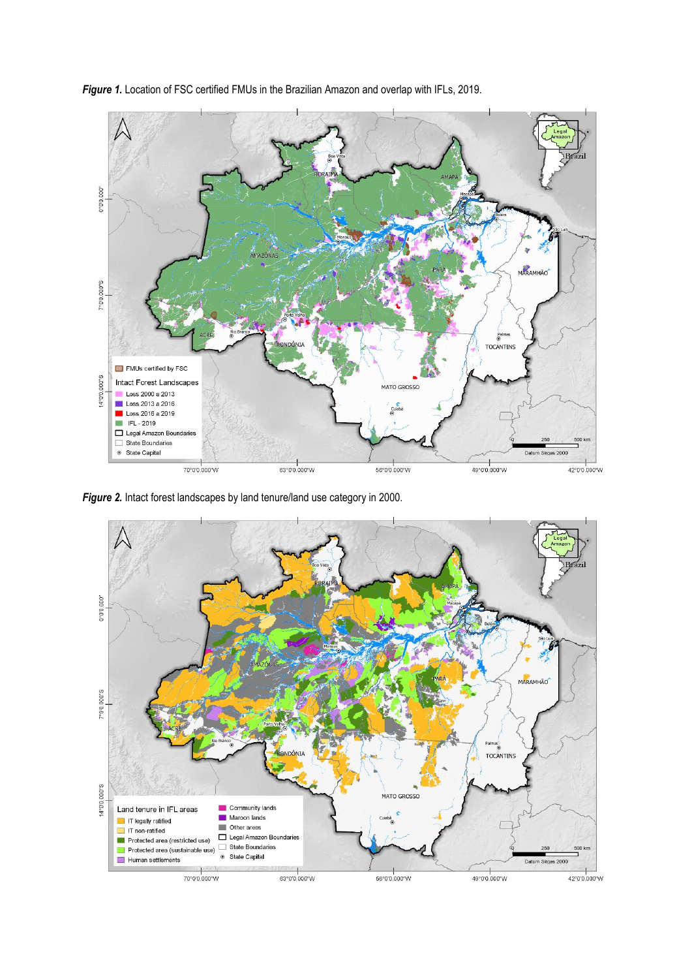

*Figure 1.* Location of FSC certified FMUs in the Brazilian Amazon and overlap with IFLs, 2019.

*Figure 2.* Intact forest landscapes by land tenure/land use category in 2000.

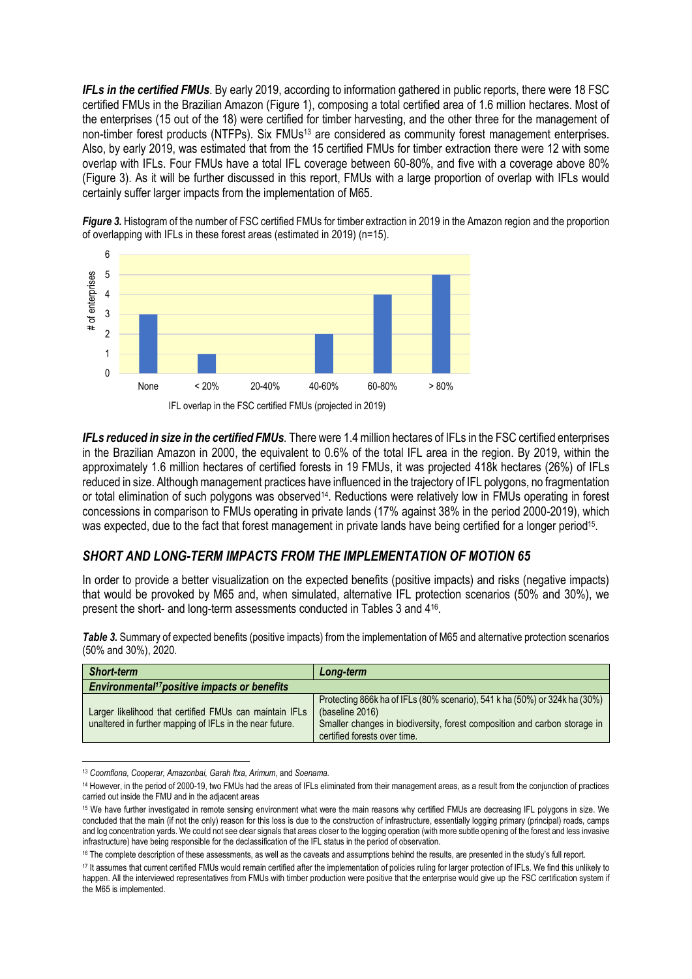*IFLs in the certified FMUs*. By early 2019, according to information gathered in public reports, there were 18 FSC certified FMUs in the Brazilian Amazon (Figure 1), composing a total certified area of 1.6 million hectares. Most of the enterprises (15 out of the 18) were certified for timber harvesting, and the other three for the management of non-timber forest products (NTFPs). Six FMUs<sup>13</sup> are considered as community forest management enterprises. Also, by early 2019, was estimated that from the 15 certified FMUs for timber extraction there were 12 with some overlap with IFLs. Four FMUs have a total IFL coverage between 60-80%, and five with a coverage above 80% (Figure 3). As it will be further discussed in this report, FMUs with a large proportion of overlap with IFLs would certainly suffer larger impacts from the implementation of M65.



**Figure 3.** Histogram of the number of FSC certified FMUs for timber extraction in 2019 in the Amazon region and the proportion of overlapping with IFLs in these forest areas (estimated in 2019) (n=15).

*IFLs reduced in size in the certified FMUs.* There were 1.4 million hectares of IFLs in the FSC certified enterprises in the Brazilian Amazon in 2000, the equivalent to 0.6% of the total IFL area in the region. By 2019, within the approximately 1.6 million hectares of certified forests in 19 FMUs, it was projected 418k hectares (26%) of IFLs reduced in size. Although management practices have influenced in the trajectory of IFL polygons, no fragmentation or total elimination of such polygons was observed<sup>14</sup>. Reductions were relatively low in FMUs operating in forest concessions in comparison to FMUs operating in private lands (17% against 38% in the period 2000-2019), which was expected, due to the fact that forest management in private lands have being certified for a longer period<sup>15</sup>.

#### *SHORT AND LONG-TERM IMPACTS FROM THE IMPLEMENTATION OF MOTION 65*

In order to provide a better visualization on the expected benefits (positive impacts) and risks (negative impacts) that would be provoked by M65 and, when simulated, alternative IFL protection scenarios (50% and 30%), we present the short- and long-term assessments conducted in Tables 3 and 4<sup>16</sup> .

*Table 3.* Summary of expected benefits (positive impacts) from the implementation of M65 and alternative protection scenarios (50% and 30%), 2020.

| <b>Short-term</b>                                                                                                   | Long-term                                                                                                                                                                                                  |
|---------------------------------------------------------------------------------------------------------------------|------------------------------------------------------------------------------------------------------------------------------------------------------------------------------------------------------------|
| <b>Environmental<sup>17</sup>positive impacts or benefits</b>                                                       |                                                                                                                                                                                                            |
| Larger likelihood that certified FMUs can maintain IFLs<br>unaltered in further mapping of IFLs in the near future. | Protecting 866k ha of IFLs (80% scenario), 541 k ha (50%) or 324k ha (30%)<br>(baseline 2016)<br>Smaller changes in biodiversity, forest composition and carbon storage in<br>certified forests over time. |

<sup>13</sup> *Coomflona, Cooperar, Amazonbai, Garah Itxa, Arimum*, and *Soenama.* 

<sup>&</sup>lt;sup>14</sup> However, in the period of 2000-19, two FMUs had the areas of IFLs eliminated from their management areas, as a result from the conjunction of practices carried out inside the FMU and in the adjacent areas

<sup>15</sup> We have further investigated in remote sensing environment what were the main reasons why certified FMUs are decreasing IFL polygons in size. We concluded that the main (if not the only) reason for this loss is due to the construction of infrastructure, essentially logging primary (principal) roads, camps and log concentration yards. We could not see clear signals that areas closer to the logging operation (with more subtle opening of the forest and less invasive infrastructure) have being responsible for the declassification of the IFL status in the period of observation.

<sup>16</sup> The complete description of these assessments, as well as the caveats and assumptions behind the results, are presented in the study's full report.

<sup>17</sup> It assumes that current certified FMUs would remain certified after the implementation of policies ruling for larger protection of IFLs. We find this unlikely to happen. All the interviewed representatives from FMUs with timber production were positive that the enterprise would give up the FSC certification system if the M65 is implemented.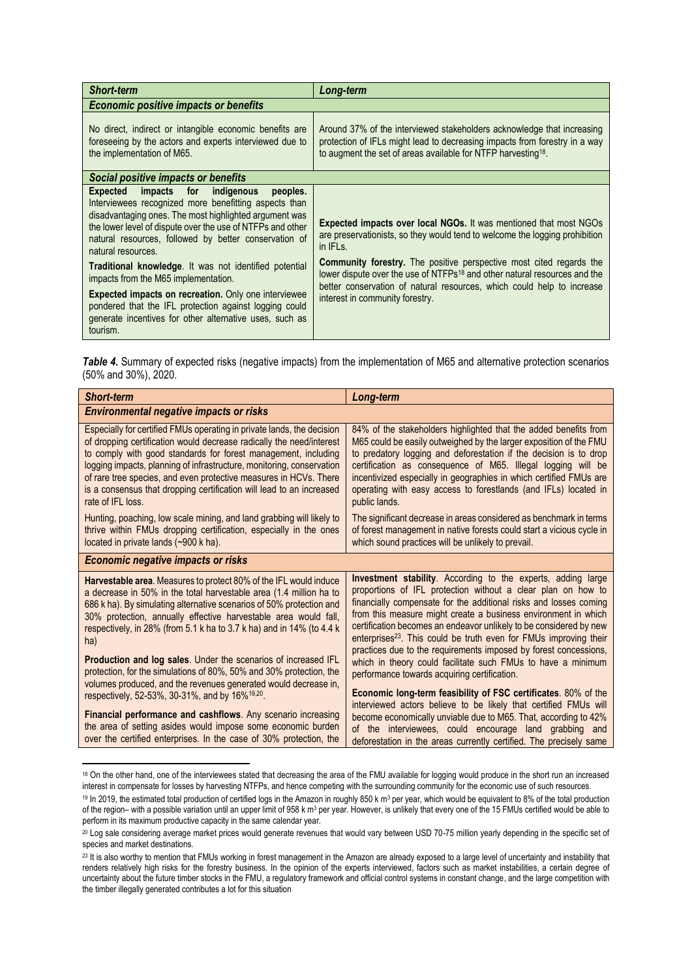| <b>Short-term</b>                                                                                                                                                                                                                                                                                                                                                                                                                                                                                                                                                                                                          | Long-term                                                                                                                                                                                                                                                                                                                                                                                                                                                           |  |  |  |
|----------------------------------------------------------------------------------------------------------------------------------------------------------------------------------------------------------------------------------------------------------------------------------------------------------------------------------------------------------------------------------------------------------------------------------------------------------------------------------------------------------------------------------------------------------------------------------------------------------------------------|---------------------------------------------------------------------------------------------------------------------------------------------------------------------------------------------------------------------------------------------------------------------------------------------------------------------------------------------------------------------------------------------------------------------------------------------------------------------|--|--|--|
| <b>Economic positive impacts or benefits</b>                                                                                                                                                                                                                                                                                                                                                                                                                                                                                                                                                                               |                                                                                                                                                                                                                                                                                                                                                                                                                                                                     |  |  |  |
| No direct, indirect or intangible economic benefits are<br>foreseeing by the actors and experts interviewed due to<br>the implementation of M65.                                                                                                                                                                                                                                                                                                                                                                                                                                                                           | Around 37% of the interviewed stakeholders acknowledge that increasing<br>protection of IFLs might lead to decreasing impacts from forestry in a way<br>to augment the set of areas available for NTFP harvesting <sup>18</sup> .                                                                                                                                                                                                                                   |  |  |  |
| Social positive impacts or benefits                                                                                                                                                                                                                                                                                                                                                                                                                                                                                                                                                                                        |                                                                                                                                                                                                                                                                                                                                                                                                                                                                     |  |  |  |
| Expected<br>impacts for<br>indigenous<br>peoples.<br>Interviewees recognized more benefitting aspects than<br>disadvantaging ones. The most highlighted argument was<br>the lower level of dispute over the use of NTFPs and other<br>natural resources, followed by better conservation of<br>natural resources.<br><b>Traditional knowledge.</b> It was not identified potential<br>impacts from the M65 implementation.<br><b>Expected impacts on recreation.</b> Only one interviewee<br>pondered that the IFL protection against logging could<br>generate incentives for other alternative uses, such as<br>tourism. | <b>Expected impacts over local NGOs.</b> It was mentioned that most NGOs<br>are preservationists, so they would tend to welcome the logging prohibition<br>in IFL <sub>s.</sub><br><b>Community forestry.</b> The positive perspective most cited regards the<br>lower dispute over the use of NTFPs <sup>18</sup> and other natural resources and the<br>better conservation of natural resources, which could help to increase<br>interest in community forestry. |  |  |  |

*Table 4.* Summary of expected risks (negative impacts) from the implementation of M65 and alternative protection scenarios (50% and 30%), 2020.

| <b>Short-term</b>                                                                                                                                                                                                                                                                                                                                                                                                                                                                                                                                                                                                                                           | Long-term                                                                                                                                                                                                                                                                                                                                                                                                                                                                                                                                                                                                                                                                               |  |
|-------------------------------------------------------------------------------------------------------------------------------------------------------------------------------------------------------------------------------------------------------------------------------------------------------------------------------------------------------------------------------------------------------------------------------------------------------------------------------------------------------------------------------------------------------------------------------------------------------------------------------------------------------------|-----------------------------------------------------------------------------------------------------------------------------------------------------------------------------------------------------------------------------------------------------------------------------------------------------------------------------------------------------------------------------------------------------------------------------------------------------------------------------------------------------------------------------------------------------------------------------------------------------------------------------------------------------------------------------------------|--|
| <b>Environmental negative impacts or risks</b>                                                                                                                                                                                                                                                                                                                                                                                                                                                                                                                                                                                                              |                                                                                                                                                                                                                                                                                                                                                                                                                                                                                                                                                                                                                                                                                         |  |
| Especially for certified FMUs operating in private lands, the decision<br>of dropping certification would decrease radically the need/interest<br>to comply with good standards for forest management, including<br>logging impacts, planning of infrastructure, monitoring, conservation<br>of rare tree species, and even protective measures in HCVs. There<br>is a consensus that dropping certification will lead to an increased<br>rate of IFL loss.                                                                                                                                                                                                 | 84% of the stakeholders highlighted that the added benefits from<br>M65 could be easily outweighed by the larger exposition of the FMU<br>to predatory logging and deforestation if the decision is to drop<br>certification as consequence of M65. Illegal logging will be<br>incentivized especially in geographies in which certified FMUs are<br>operating with easy access to forestlands (and IFLs) located in<br>public lands.                                                                                                                                                                                                                                                   |  |
| Hunting, poaching, low scale mining, and land grabbing will likely to<br>thrive within FMUs dropping certification, especially in the ones<br>located in private lands (~900 k ha).                                                                                                                                                                                                                                                                                                                                                                                                                                                                         | The significant decrease in areas considered as benchmark in terms<br>of forest management in native forests could start a vicious cycle in<br>which sound practices will be unlikely to prevail.                                                                                                                                                                                                                                                                                                                                                                                                                                                                                       |  |
| <b>Economic negative impacts or risks</b>                                                                                                                                                                                                                                                                                                                                                                                                                                                                                                                                                                                                                   |                                                                                                                                                                                                                                                                                                                                                                                                                                                                                                                                                                                                                                                                                         |  |
| <b>Harvestable area.</b> Measures to protect 80% of the IFL would induce<br>a decrease in 50% in the total harvestable area (1.4 million ha to<br>686 k ha). By simulating alternative scenarios of 50% protection and<br>30% protection, annually effective harvestable area would fall,<br>respectively, in 28% (from 5.1 k ha to 3.7 k ha) and in 14% (to 4.4 k<br>ha)<br><b>Production and log sales.</b> Under the scenarios of increased IFL<br>protection, for the simulations of 80%, 50% and 30% protection, the<br>volumes produced, and the revenues generated would decrease in,<br>respectively, 52-53%, 30-31%, and by 16% <sup>19,20</sup> . | <b>Investment stability.</b> According to the experts, adding large<br>proportions of IFL protection without a clear plan on how to<br>financially compensate for the additional risks and losses coming<br>from this measure might create a business environment in which<br>certification becomes an endeavor unlikely to be considered by new<br>enterprises <sup>23</sup> . This could be truth even for FMUs improving their<br>practices due to the requirements imposed by forest concessions,<br>which in theory could facilitate such FMUs to have a minimum<br>performance towards acquiring certification.<br>Economic long-term feasibility of FSC certificates. 80% of the |  |
| Financial performance and cashflows. Any scenario increasing<br>the area of setting asides would impose some economic burden<br>over the certified enterprises. In the case of 30% protection, the                                                                                                                                                                                                                                                                                                                                                                                                                                                          | interviewed actors believe to be likely that certified FMUs will<br>become economically unviable due to M65. That, according to 42%<br>of the interviewees, could encourage land grabbing and<br>deforestation in the areas currently certified. The precisely same                                                                                                                                                                                                                                                                                                                                                                                                                     |  |

<sup>18</sup> On the other hand, one of the interviewees stated that decreasing the area of the FMU available for logging would produce in the short run an increased interest in compensate for losses by harvesting NTFPs, and hence competing with the surrounding community for the economic use of such resources.

<sup>&</sup>lt;sup>19</sup> In 2019, the estimated total production of certified logs in the Amazon in roughly 850 k m<sup>3</sup> per year, which would be equivalent to 8% of the total production of the region– with a possible variation until an upper limit of 958 k m<sup>3</sup> per year. However, is unlikely that every one of the 15 FMUs certified would be able to perform in its maximum productive capacity in the same calendar year.

<sup>20</sup> Log sale considering average market prices would generate revenues that would vary between USD 70-75 million yearly depending in the specific set of species and market destinations.

<sup>&</sup>lt;sup>23</sup> It is also worthy to mention that FMUs working in forest management in the Amazon are already exposed to a large level of uncertainty and instability that renders relatively high risks for the forestry business. In the opinion of the experts interviewed, factors such as market instabilities, a certain degree of uncertainty about the future timber stocks in the FMU, a regulatory framework and official control systems in constant change, and the large competition with the timber illegally generated contributes a lot for this situation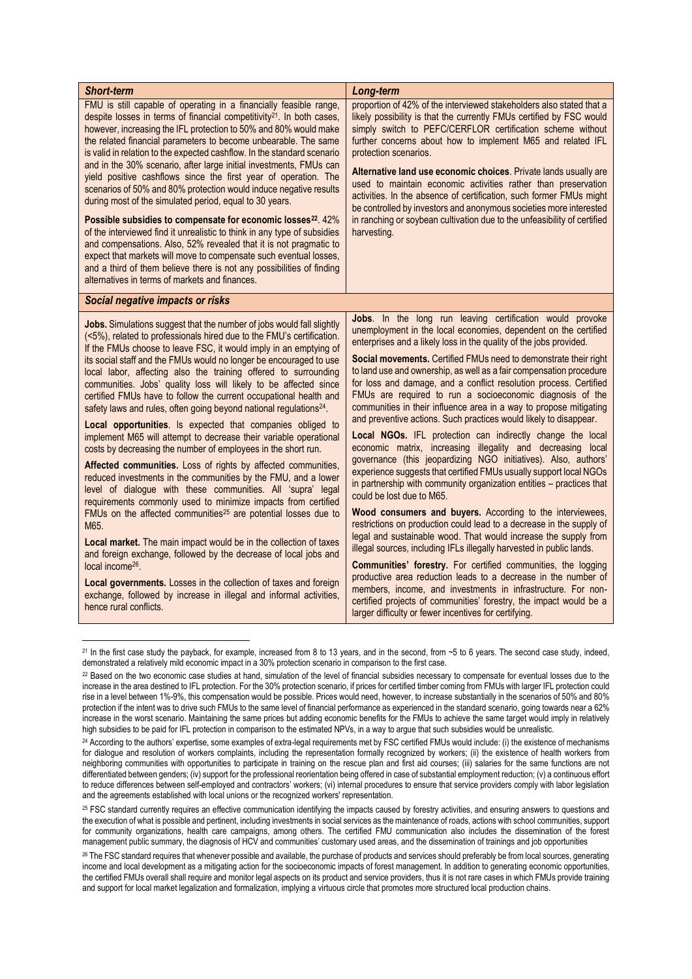| <b>Short-term</b>                                                                                                                                                                                                                                                                                                                                                                                                                                                                                                                                                                                                                                                                                                                                                                                                                                                                                                                                                                                                                                                                                                                                                                                                                | Long-term                                                                                                                                                                                                                                                                                                                                                                                                                                                                                                                                                                                                                                                                                                                                                                                                                                                                                                                                                                                                                                                                                                                                                                                                                                                                            |
|----------------------------------------------------------------------------------------------------------------------------------------------------------------------------------------------------------------------------------------------------------------------------------------------------------------------------------------------------------------------------------------------------------------------------------------------------------------------------------------------------------------------------------------------------------------------------------------------------------------------------------------------------------------------------------------------------------------------------------------------------------------------------------------------------------------------------------------------------------------------------------------------------------------------------------------------------------------------------------------------------------------------------------------------------------------------------------------------------------------------------------------------------------------------------------------------------------------------------------|--------------------------------------------------------------------------------------------------------------------------------------------------------------------------------------------------------------------------------------------------------------------------------------------------------------------------------------------------------------------------------------------------------------------------------------------------------------------------------------------------------------------------------------------------------------------------------------------------------------------------------------------------------------------------------------------------------------------------------------------------------------------------------------------------------------------------------------------------------------------------------------------------------------------------------------------------------------------------------------------------------------------------------------------------------------------------------------------------------------------------------------------------------------------------------------------------------------------------------------------------------------------------------------|
| FMU is still capable of operating in a financially feasible range,<br>despite losses in terms of financial competitivity $2^1$ . In both cases,<br>however, increasing the IFL protection to 50% and 80% would make<br>the related financial parameters to become unbearable. The same<br>is valid in relation to the expected cashflow. In the standard scenario<br>and in the 30% scenario, after large initial investments, FMUs can<br>yield positive cashflows since the first year of operation. The<br>scenarios of 50% and 80% protection would induce negative results<br>during most of the simulated period, equal to 30 years.<br>Possible subsidies to compensate for economic losses <sup>22</sup> . 42%<br>of the interviewed find it unrealistic to think in any type of subsidies<br>and compensations. Also, 52% revealed that it is not pragmatic to<br>expect that markets will move to compensate such eventual losses,<br>and a third of them believe there is not any possibilities of finding<br>alternatives in terms of markets and finances.                                                                                                                                                          | proportion of 42% of the interviewed stakeholders also stated that a<br>likely possibility is that the currently FMUs certified by FSC would<br>simply switch to PEFC/CERFLOR certification scheme without<br>further concerns about how to implement M65 and related IFL<br>protection scenarios.<br>Alternative land use economic choices. Private lands usually are<br>used to maintain economic activities rather than preservation<br>activities. In the absence of certification, such former FMUs might<br>be controlled by investors and anonymous societies more interested<br>in ranching or soybean cultivation due to the unfeasibility of certified<br>harvesting.                                                                                                                                                                                                                                                                                                                                                                                                                                                                                                                                                                                                      |
| Social negative impacts or risks                                                                                                                                                                                                                                                                                                                                                                                                                                                                                                                                                                                                                                                                                                                                                                                                                                                                                                                                                                                                                                                                                                                                                                                                 |                                                                                                                                                                                                                                                                                                                                                                                                                                                                                                                                                                                                                                                                                                                                                                                                                                                                                                                                                                                                                                                                                                                                                                                                                                                                                      |
| <b>Jobs.</b> Simulations suggest that the number of jobs would fall slightly<br>(<5%), related to professionals hired due to the FMU's certification.<br>If the FMUs choose to leave FSC, it would imply in an emptying of<br>its social staff and the FMUs would no longer be encouraged to use<br>local labor, affecting also the training offered to surrounding<br>communities. Jobs' quality loss will likely to be affected since<br>certified FMUs have to follow the current occupational health and<br>safety laws and rules, often going beyond national regulations <sup>24</sup> .<br>Local opportunities. Is expected that companies obliged to<br>implement M65 will attempt to decrease their variable operational<br>costs by decreasing the number of employees in the short run.<br>Affected communities. Loss of rights by affected communities,<br>reduced investments in the communities by the FMU, and a lower<br>level of dialogue with these communities. All 'supra' legal<br>requirements commonly used to minimize impacts from certified<br>FMUs on the affected communities <sup>25</sup> are potential losses due to<br>M65.<br>Local market. The main impact would be in the collection of taxes | Jobs. In the long run leaving certification would provoke<br>unemployment in the local economies, dependent on the certified<br>enterprises and a likely loss in the quality of the jobs provided.<br>Social movements. Certified FMUs need to demonstrate their right<br>to land use and ownership, as well as a fair compensation procedure<br>for loss and damage, and a conflict resolution process. Certified<br>FMUs are required to run a socioeconomic diagnosis of the<br>communities in their influence area in a way to propose mitigating<br>and preventive actions. Such practices would likely to disappear.<br>Local NGOs. IFL protection can indirectly change the local<br>economic matrix, increasing illegality and decreasing local<br>governance (this jeopardizing NGO initiatives). Also, authors'<br>experience suggests that certified FMUs usually support local NGOs<br>in partnership with community organization entities - practices that<br>could be lost due to M65.<br>Wood consumers and buyers. According to the interviewees,<br>restrictions on production could lead to a decrease in the supply of<br>legal and sustainable wood. That would increase the supply from<br>illegal sources, including IFLs illegally harvested in public lands. |
| and foreign exchange, followed by the decrease of local jobs and<br>local income <sup>26</sup> .<br>Local governments. Losses in the collection of taxes and foreign<br>exchange, followed by increase in illegal and informal activities,<br>hence rural conflicts.                                                                                                                                                                                                                                                                                                                                                                                                                                                                                                                                                                                                                                                                                                                                                                                                                                                                                                                                                             | <b>Communities' forestry.</b> For certified communities, the logging<br>productive area reduction leads to a decrease in the number of<br>members, income, and investments in infrastructure. For non-<br>certified projects of communities' forestry, the impact would be a<br>larger difficulty or fewer incentives for certifying.                                                                                                                                                                                                                                                                                                                                                                                                                                                                                                                                                                                                                                                                                                                                                                                                                                                                                                                                                |

<sup>&</sup>lt;sup>21</sup> In the first case study the payback, for example, increased from 8 to 13 years, and in the second, from ~5 to 6 years. The second case study, indeed, demonstrated a relatively mild economic impact in a 30% protection scenario in comparison to the first case.

<sup>&</sup>lt;sup>22</sup> Based on the two economic case studies at hand, simulation of the level of financial subsidies necessary to compensate for eventual losses due to the increase in the area destined to IFL protection. For the 30% protection scenario, if prices for certified timber coming from FMUs with larger IFL protection could rise in a level between 1%-9%, this compensation would be possible. Prices would need, however, to increase substantially in the scenarios of 50% and 80% protection if the intent was to drive such FMUs to the same level of financial performance as experienced in the standard scenario, going towards near a 62% increase in the worst scenario. Maintaining the same prices but adding economic benefits for the FMUs to achieve the same target would imply in relatively high subsidies to be paid for IFL protection in comparison to the estimated NPVs, in a way to argue that such subsidies would be unrealistic.

<sup>24</sup> According to the authors' expertise, some examples of extra-legal requirements met by FSC certified FMUs would include: (i) the existence of mechanisms for dialogue and resolution of workers complaints, including the representation formally recognized by workers; (ii) the existence of health workers from neighboring communities with opportunities to participate in training on the rescue plan and first aid courses; (iii) salaries for the same functions are not differentiated between genders; (iv) support for the professional reorientation being offered in case of substantial employment reduction; (v) a continuous effort to reduce differences between self-employed and contractors' workers; (vi) internal procedures to ensure that service providers comply with labor legislation and the agreements established with local unions or the recognized workers' representation.

<sup>25</sup> FSC standard currently requires an effective communication identifying the impacts caused by forestry activities, and ensuring answers to questions and the execution of what is possible and pertinent, including investments in social services as the maintenance of roads, actions with school communities, support for community organizations, health care campaigns, among others. The certified FMU communication also includes the dissemination of the forest management public summary, the diagnosis of HCV and communities' customary used areas, and the dissemination of trainings and job opportunities

<sup>26</sup> The FSC standard requires that whenever possible and available, the purchase of products and services should preferably be from local sources, generating income and local development as a mitigating action for the socioeconomic impacts of forest management. In addition to generating economic opportunities, the certified FMUs overall shall require and monitor legal aspects on its product and service providers, thus it is not rare cases in which FMUs provide training and support for local market legalization and formalization, implying a virtuous circle that promotes more structured local production chains.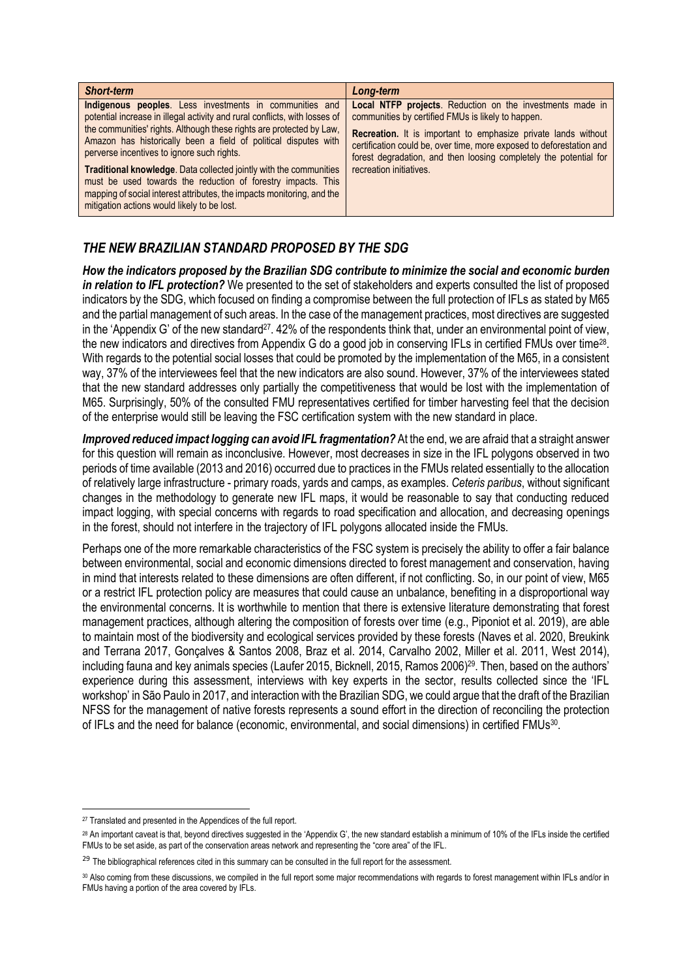| <b>Short-term</b>                                                                                                                                                                                                                                                                                                                                                                                                                                                                                                                                                                                    | Long-term                                                                                                                                                                                                                                                                                                                                                        |
|------------------------------------------------------------------------------------------------------------------------------------------------------------------------------------------------------------------------------------------------------------------------------------------------------------------------------------------------------------------------------------------------------------------------------------------------------------------------------------------------------------------------------------------------------------------------------------------------------|------------------------------------------------------------------------------------------------------------------------------------------------------------------------------------------------------------------------------------------------------------------------------------------------------------------------------------------------------------------|
| Indigenous peoples. Less investments in communities and<br>potential increase in illegal activity and rural conflicts, with losses of<br>the communities' rights. Although these rights are protected by Law,<br>Amazon has historically been a field of political disputes with<br>perverse incentives to ignore such rights.<br><b>Traditional knowledge.</b> Data collected jointly with the communities<br>must be used towards the reduction of forestry impacts. This<br>mapping of social interest attributes, the impacts monitoring, and the<br>mitigation actions would likely to be lost. | Local NTFP projects. Reduction on the investments made in<br>communities by certified FMUs is likely to happen.<br><b>Recreation.</b> It is important to emphasize private lands without<br>certification could be, over time, more exposed to deforestation and<br>forest degradation, and then loosing completely the potential for<br>recreation initiatives. |

# *THE NEW BRAZILIAN STANDARD PROPOSED BY THE SDG*

*How the indicators proposed by the Brazilian SDG contribute to minimize the social and economic burden in relation to IFL protection?* We presented to the set of stakeholders and experts consulted the list of proposed indicators by the SDG, which focused on finding a compromise between the full protection of IFLs as stated by M65 and the partial management of such areas. In the case of the management practices, most directives are suggested in the 'Appendix G' of the new standard<sup>27</sup>. 42% of the respondents think that, under an environmental point of view, the new indicators and directives from Appendix G do a good job in conserving IFLs in certified FMUs over time<sup>28</sup>. With regards to the potential social losses that could be promoted by the implementation of the M65, in a consistent way, 37% of the interviewees feel that the new indicators are also sound. However, 37% of the interviewees stated that the new standard addresses only partially the competitiveness that would be lost with the implementation of M65. Surprisingly, 50% of the consulted FMU representatives certified for timber harvesting feel that the decision of the enterprise would still be leaving the FSC certification system with the new standard in place.

*Improved reduced impact logging can avoid IFL fragmentation?* At the end, we are afraid that a straight answer for this question will remain as inconclusive. However, most decreases in size in the IFL polygons observed in two periods of time available (2013 and 2016) occurred due to practices in the FMUs related essentially to the allocation of relatively large infrastructure - primary roads, yards and camps, as examples. *Ceteris paribus*, without significant changes in the methodology to generate new IFL maps, it would be reasonable to say that conducting reduced impact logging, with special concerns with regards to road specification and allocation, and decreasing openings in the forest, should not interfere in the trajectory of IFL polygons allocated inside the FMUs.

Perhaps one of the more remarkable characteristics of the FSC system is precisely the ability to offer a fair balance between environmental, social and economic dimensions directed to forest management and conservation, having in mind that interests related to these dimensions are often different, if not conflicting. So, in our point of view, M65 or a restrict IFL protection policy are measures that could cause an unbalance, benefiting in a disproportional way the environmental concerns. It is worthwhile to mention that there is extensive literature demonstrating that forest management practices, although altering the composition of forests over time (e.g., Piponiot et al. 2019), are able to maintain most of the biodiversity and ecological services provided by these forests (Naves et al. 2020, Breukink and Terrana 2017, Gonçalves & Santos 2008, Braz et al. 2014, Carvalho 2002, Miller et al. 2011, West 2014), including fauna and key animals species (Laufer 2015, Bicknell, 2015, Ramos 2006) <sup>29</sup>. Then, based on the authors' experience during this assessment, interviews with key experts in the sector, results collected since the 'IFL workshop' in São Paulo in 2017, and interaction with the Brazilian SDG, we could argue that the draft of the Brazilian NFSS for the management of native forests represents a sound effort in the direction of reconciling the protection of IFLs and the need for balance (economic, environmental, and social dimensions) in certified FMUs<sup>30</sup>.

<sup>27</sup> Translated and presented in the Appendices of the full report.

<sup>28</sup> An important caveat is that, beyond directives suggested in the 'Appendix G', the new standard establish a minimum of 10% of the IFLs inside the certified FMUs to be set aside, as part of the conservation areas network and representing the "core area" of the IFL.

<sup>&</sup>lt;sup>29</sup> The bibliographical references cited in this summary can be consulted in the full report for the assessment.

<sup>30</sup> Also coming from these discussions, we compiled in the full report some major recommendations with regards to forest management within IFLs and/or in FMUs having a portion of the area covered by IFLs.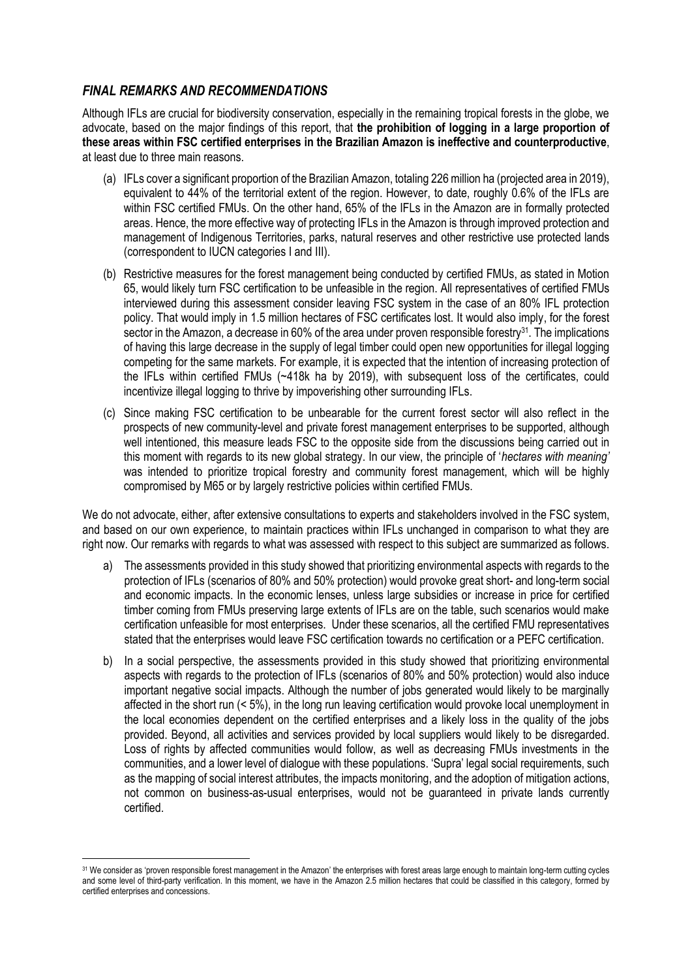### *FINAL REMARKS AND RECOMMENDATIONS*

Although IFLs are crucial for biodiversity conservation, especially in the remaining tropical forests in the globe, we advocate, based on the major findings of this report, that **the prohibition of logging in a large proportion of these areas within FSC certified enterprises in the Brazilian Amazon is ineffective and counterproductive**, at least due to three main reasons.

- (a) IFLs cover a significant proportion of the Brazilian Amazon, totaling 226 million ha (projected area in 2019), equivalent to 44% of the territorial extent of the region. However, to date, roughly 0.6% of the IFLs are within FSC certified FMUs. On the other hand, 65% of the IFLs in the Amazon are in formally protected areas. Hence, the more effective way of protecting IFLs in the Amazon is through improved protection and management of Indigenous Territories, parks, natural reserves and other restrictive use protected lands (correspondent to IUCN categories I and III).
- (b) Restrictive measures for the forest management being conducted by certified FMUs, as stated in Motion 65, would likely turn FSC certification to be unfeasible in the region. All representatives of certified FMUs interviewed during this assessment consider leaving FSC system in the case of an 80% IFL protection policy. That would imply in 1.5 million hectares of FSC certificates lost. It would also imply, for the forest sector in the Amazon, a decrease in 60% of the area under proven responsible forestry<sup>31</sup>. The implications of having this large decrease in the supply of legal timber could open new opportunities for illegal logging competing for the same markets. For example, it is expected that the intention of increasing protection of the IFLs within certified FMUs (~418k ha by 2019), with subsequent loss of the certificates, could incentivize illegal logging to thrive by impoverishing other surrounding IFLs.
- (c) Since making FSC certification to be unbearable for the current forest sector will also reflect in the prospects of new community-level and private forest management enterprises to be supported, although well intentioned, this measure leads FSC to the opposite side from the discussions being carried out in this moment with regards to its new global strategy. In our view, the principle of '*hectares with meaning'* was intended to prioritize tropical forestry and community forest management, which will be highly compromised by M65 or by largely restrictive policies within certified FMUs.

We do not advocate, either, after extensive consultations to experts and stakeholders involved in the FSC system, and based on our own experience, to maintain practices within IFLs unchanged in comparison to what they are right now. Our remarks with regards to what was assessed with respect to this subject are summarized as follows.

- a) The assessments provided in this study showed that prioritizing environmental aspects with regards to the protection of IFLs (scenarios of 80% and 50% protection) would provoke great short- and long-term social and economic impacts. In the economic lenses, unless large subsidies or increase in price for certified timber coming from FMUs preserving large extents of IFLs are on the table, such scenarios would make certification unfeasible for most enterprises. Under these scenarios, all the certified FMU representatives stated that the enterprises would leave FSC certification towards no certification or a PEFC certification.
- b) In a social perspective, the assessments provided in this study showed that prioritizing environmental aspects with regards to the protection of IFLs (scenarios of 80% and 50% protection) would also induce important negative social impacts. Although the number of jobs generated would likely to be marginally affected in the short run (< 5%), in the long run leaving certification would provoke local unemployment in the local economies dependent on the certified enterprises and a likely loss in the quality of the jobs provided. Beyond, all activities and services provided by local suppliers would likely to be disregarded. Loss of rights by affected communities would follow, as well as decreasing FMUs investments in the communities, and a lower level of dialogue with these populations. 'Supra' legal social requirements, such as the mapping of social interest attributes, the impacts monitoring, and the adoption of mitigation actions, not common on business-as-usual enterprises, would not be guaranteed in private lands currently certified.

<sup>31</sup> We consider as 'proven responsible forest management in the Amazon' the enterprises with forest areas large enough to maintain long-term cutting cycles and some level of third-party verification. In this moment, we have in the Amazon 2.5 million hectares that could be classified in this category, formed by certified enterprises and concessions.